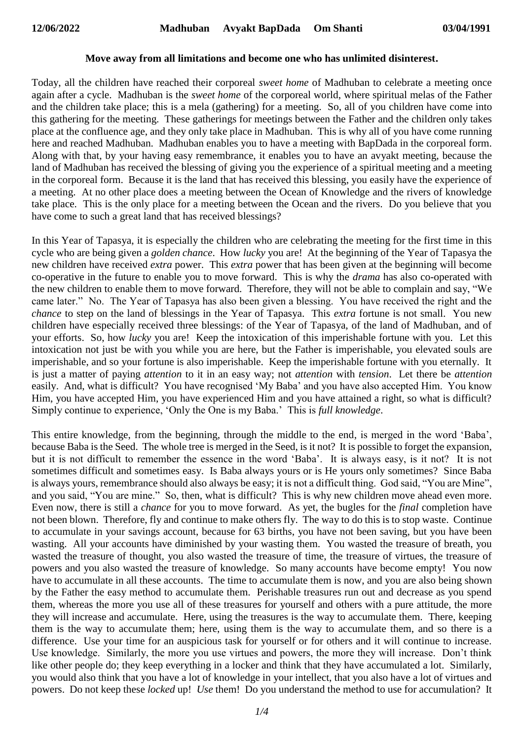## **Move away from all limitations and become one who has unlimited disinterest.**

Today, all the children have reached their corporeal *sweet home* of Madhuban to celebrate a meeting once again after a cycle. Madhuban is the *sweet home* of the corporeal world, where spiritual melas of the Father and the children take place; this is a mela (gathering) for a meeting. So, all of you children have come into this gathering for the meeting. These gatherings for meetings between the Father and the children only takes place at the confluence age, and they only take place in Madhuban. This is why all of you have come running here and reached Madhuban. Madhuban enables you to have a meeting with BapDada in the corporeal form. Along with that, by your having easy remembrance, it enables you to have an avyakt meeting, because the land of Madhuban has received the blessing of giving you the experience of a spiritual meeting and a meeting in the corporeal form. Because it is the land that has received this blessing, you easily have the experience of a meeting. At no other place does a meeting between the Ocean of Knowledge and the rivers of knowledge take place. This is the only place for a meeting between the Ocean and the rivers. Do you believe that you have come to such a great land that has received blessings?

In this Year of Tapasya, it is especially the children who are celebrating the meeting for the first time in this cycle who are being given a *golden chance*. How *lucky* you are! At the beginning of the Year of Tapasya the new children have received *extra* power. This *extra* power that has been given at the beginning will become co-operative in the future to enable you to move forward. This is why the *drama* has also co-operated with the new children to enable them to move forward. Therefore, they will not be able to complain and say, "We came later." No. The Year of Tapasya has also been given a blessing. You have received the right and the *chance* to step on the land of blessings in the Year of Tapasya. This *extra* fortune is not small. You new children have especially received three blessings: of the Year of Tapasya, of the land of Madhuban, and of your efforts. So, how *lucky* you are! Keep the intoxication of this imperishable fortune with you. Let this intoxication not just be with you while you are here, but the Father is imperishable, you elevated souls are imperishable, and so your fortune is also imperishable. Keep the imperishable fortune with you eternally. It is just a matter of paying *attention* to it in an easy way; not *attention* with *tension*. Let there be *attention* easily. And, what is difficult? You have recognised 'My Baba' and you have also accepted Him. You know Him, you have accepted Him, you have experienced Him and you have attained a right, so what is difficult? Simply continue to experience, 'Only the One is my Baba.' This is *full knowledge*.

This entire knowledge, from the beginning, through the middle to the end, is merged in the word 'Baba', because Baba is the Seed. The whole tree is merged in the Seed, is it not? It is possible to forget the expansion, but it is not difficult to remember the essence in the word 'Baba'. It is always easy, is it not? It is not sometimes difficult and sometimes easy. Is Baba always yours or is He yours only sometimes? Since Baba is always yours, remembrance should also always be easy; it is not a difficult thing. God said, "You are Mine", and you said, "You are mine." So, then, what is difficult? This is why new children move ahead even more. Even now, there is still a *chance* for you to move forward. As yet, the bugles for the *final* completion have not been blown. Therefore, fly and continue to make others fly. The way to do this is to stop waste. Continue to accumulate in your savings account, because for 63 births, you have not been saving, but you have been wasting. All your accounts have diminished by your wasting them. You wasted the treasure of breath, you wasted the treasure of thought, you also wasted the treasure of time, the treasure of virtues, the treasure of powers and you also wasted the treasure of knowledge. So many accounts have become empty! You now have to accumulate in all these accounts. The time to accumulate them is now, and you are also being shown by the Father the easy method to accumulate them. Perishable treasures run out and decrease as you spend them, whereas the more you use all of these treasures for yourself and others with a pure attitude, the more they will increase and accumulate. Here, using the treasures is the way to accumulate them. There, keeping them is the way to accumulate them; here, using them is the way to accumulate them, and so there is a difference. Use your time for an auspicious task for yourself or for others and it will continue to increase. Use knowledge. Similarly, the more you use virtues and powers, the more they will increase. Don't think like other people do; they keep everything in a locker and think that they have accumulated a lot. Similarly, you would also think that you have a lot of knowledge in your intellect, that you also have a lot of virtues and powers. Do not keep these *locked* up! *Use* them! Do you understand the method to use for accumulation? It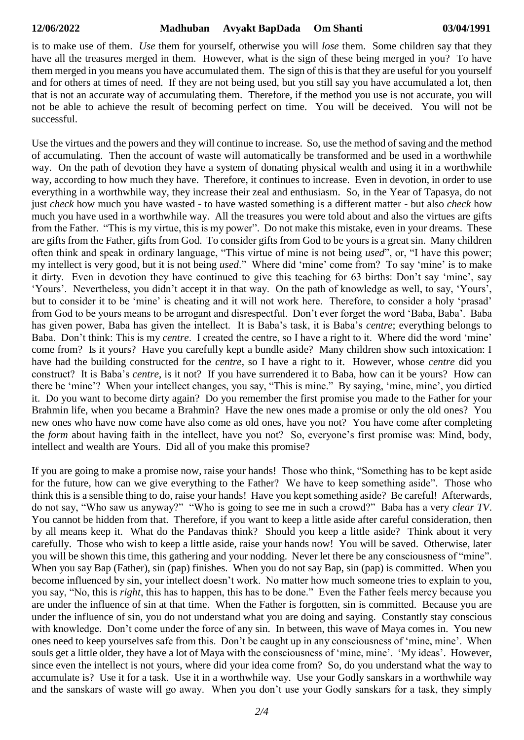is to make use of them. *Use* them for yourself, otherwise you will *lose* them. Some children say that they have all the treasures merged in them. However, what is the sign of these being merged in you? To have them merged in you means you have accumulated them. The sign of this is that they are useful for you yourself and for others at times of need. If they are not being used, but you still say you have accumulated a lot, then that is not an accurate way of accumulating them. Therefore, if the method you use is not accurate, you will not be able to achieve the result of becoming perfect on time. You will be deceived. You will not be successful.

Use the virtues and the powers and they will continue to increase. So, use the method of saving and the method of accumulating. Then the account of waste will automatically be transformed and be used in a worthwhile way. On the path of devotion they have a system of donating physical wealth and using it in a worthwhile way, according to how much they have. Therefore, it continues to increase. Even in devotion, in order to use everything in a worthwhile way, they increase their zeal and enthusiasm. So, in the Year of Tapasya, do not just *check* how much you have wasted - to have wasted something is a different matter - but also *check* how much you have used in a worthwhile way. All the treasures you were told about and also the virtues are gifts from the Father. "This is my virtue, this is my power". Do not make this mistake, even in your dreams. These are gifts from the Father, gifts from God. To consider gifts from God to be yours is a great sin. Many children often think and speak in ordinary language, "This virtue of mine is not being *used*", or, "I have this power; my intellect is very good, but it is not being *used*." Where did 'mine' come from? To say 'mine' is to make it dirty. Even in devotion they have continued to give this teaching for 63 births: Don't say 'mine', say 'Yours'. Nevertheless, you didn't accept it in that way. On the path of knowledge as well, to say, 'Yours', but to consider it to be 'mine' is cheating and it will not work here. Therefore, to consider a holy 'prasad' from God to be yours means to be arrogant and disrespectful. Don't ever forget the word 'Baba, Baba'. Baba has given power, Baba has given the intellect. It is Baba's task, it is Baba's *centre*; everything belongs to Baba. Don't think: This is my *centre*. I created the centre, so I have a right to it. Where did the word 'mine' come from? Is it yours? Have you carefully kept a bundle aside? Many children show such intoxication: I have had the building constructed for the *centre*, so I have a right to it. However, whose *centre* did you construct? It is Baba's *centre*, is it not? If you have surrendered it to Baba, how can it be yours? How can there be 'mine'? When your intellect changes, you say, "This is mine." By saying, 'mine, mine', you dirtied it. Do you want to become dirty again? Do you remember the first promise you made to the Father for your Brahmin life, when you became a Brahmin? Have the new ones made a promise or only the old ones? You new ones who have now come have also come as old ones, have you not? You have come after completing the *form* about having faith in the intellect, have you not? So, everyone's first promise was: Mind, body, intellect and wealth are Yours. Did all of you make this promise?

If you are going to make a promise now, raise your hands! Those who think, "Something has to be kept aside for the future, how can we give everything to the Father? We have to keep something aside". Those who think this is a sensible thing to do, raise your hands! Have you kept something aside? Be careful! Afterwards, do not say, "Who saw us anyway?" "Who is going to see me in such a crowd?" Baba has a very *clear TV*. You cannot be hidden from that. Therefore, if you want to keep a little aside after careful consideration, then by all means keep it. What do the Pandavas think? Should you keep a little aside? Think about it very carefully. Those who wish to keep a little aside, raise your hands now! You will be saved. Otherwise, later you will be shown this time, this gathering and your nodding. Never let there be any consciousness of "mine". When you say Bap (Father), sin (pap) finishes. When you do not say Bap, sin (pap) is committed. When you become influenced by sin, your intellect doesn't work. No matter how much someone tries to explain to you, you say, "No, this is *right*, this has to happen, this has to be done." Even the Father feels mercy because you are under the influence of sin at that time. When the Father is forgotten, sin is committed. Because you are under the influence of sin, you do not understand what you are doing and saying. Constantly stay conscious with knowledge. Don't come under the force of any sin. In between, this wave of Maya comes in. You new ones need to keep yourselves safe from this. Don't be caught up in any consciousness of 'mine, mine'. When souls get a little older, they have a lot of Maya with the consciousness of 'mine, mine'. 'My ideas'. However, since even the intellect is not yours, where did your idea come from? So, do you understand what the way to accumulate is? Use it for a task. Use it in a worthwhile way. Use your Godly sanskars in a worthwhile way and the sanskars of waste will go away. When you don't use your Godly sanskars for a task, they simply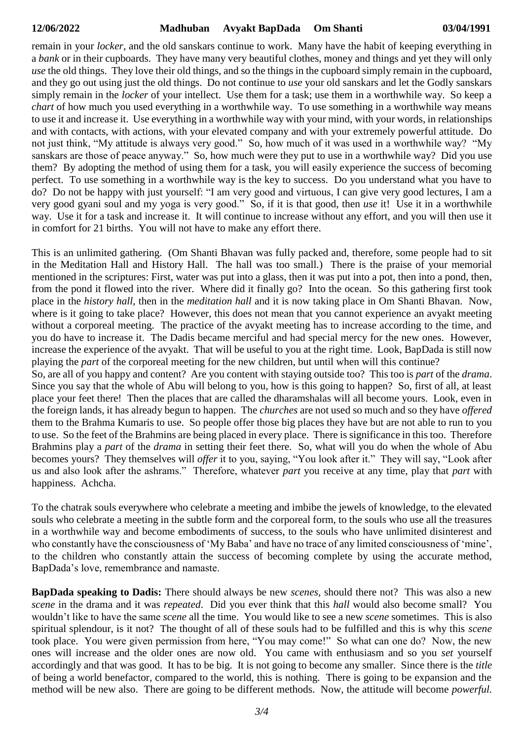remain in your *locker*, and the old sanskars continue to work. Many have the habit of keeping everything in a *bank* or in their cupboards. They have many very beautiful clothes, money and things and yet they will only *use* the old things. They love their old things, and so the things in the cupboard simply remain in the cupboard, and they go out using just the old things. Do not continue to *use* your old sanskars and let the Godly sanskars simply remain in the *locker* of your intellect. Use them for a task; use them in a worthwhile way. So keep a *chart* of how much you used everything in a worthwhile way. To use something in a worthwhile way means to use it and increase it. Use everything in a worthwhile way with your mind, with your words, in relationships and with contacts, with actions, with your elevated company and with your extremely powerful attitude. Do not just think, "My attitude is always very good." So, how much of it was used in a worthwhile way? "My sanskars are those of peace anyway." So, how much were they put to use in a worthwhile way? Did you use them? By adopting the method of using them for a task, you will easily experience the success of becoming perfect. To use something in a worthwhile way is the key to success. Do you understand what you have to do? Do not be happy with just yourself: "I am very good and virtuous, I can give very good lectures, I am a very good gyani soul and my yoga is very good." So, if it is that good, then *use* it! Use it in a worthwhile way. Use it for a task and increase it. It will continue to increase without any effort, and you will then use it in comfort for 21 births. You will not have to make any effort there.

This is an unlimited gathering. (Om Shanti Bhavan was fully packed and, therefore, some people had to sit in the Meditation Hall and History Hall. The hall was too small.) There is the praise of your memorial mentioned in the scriptures: First, water was put into a glass, then it was put into a pot, then into a pond, then, from the pond it flowed into the river. Where did it finally go? Into the ocean. So this gathering first took place in the *history hall*, then in the *meditation hall* and it is now taking place in Om Shanti Bhavan. Now, where is it going to take place? However, this does not mean that you cannot experience an avyakt meeting without a corporeal meeting. The practice of the avyakt meeting has to increase according to the time, and you do have to increase it. The Dadis became merciful and had special mercy for the new ones. However, increase the experience of the avyakt. That will be useful to you at the right time. Look, BapDada is still now playing the *part* of the corporeal meeting for the new children, but until when will this continue?

So, are all of you happy and content? Are you content with staying outside too? This too is *part* of the *drama*. Since you say that the whole of Abu will belong to you, how is this going to happen? So, first of all, at least place your feet there! Then the places that are called the dharamshalas will all become yours. Look, even in the foreign lands, it has already begun to happen. The *churches* are not used so much and so they have *offered* them to the Brahma Kumaris to use. So people offer those big places they have but are not able to run to you to use. So the feet of the Brahmins are being placed in every place. There is significance in this too. Therefore Brahmins play a *part* of the *drama* in setting their feet there. So, what will you do when the whole of Abu becomes yours? They themselves will *offer* it to you, saying, "You look after it." They will say, "Look after us and also look after the ashrams." Therefore, whatever *part* you receive at any time, play that *part* with happiness. Achcha.

To the chatrak souls everywhere who celebrate a meeting and imbibe the jewels of knowledge, to the elevated souls who celebrate a meeting in the subtle form and the corporeal form, to the souls who use all the treasures in a worthwhile way and become embodiments of success, to the souls who have unlimited disinterest and who constantly have the consciousness of 'My Baba' and have no trace of any limited consciousness of 'mine', to the children who constantly attain the success of becoming complete by using the accurate method, BapDada's love, remembrance and namaste.

**BapDada speaking to Dadis:** There should always be new *scenes*, should there not? This was also a new *scene* in the drama and it was *repeated*. Did you ever think that this *hall* would also become small? You wouldn't like to have the same *scene* all the time. You would like to see a new *scene* sometimes. This is also spiritual splendour, is it not? The thought of all of these souls had to be fulfilled and this is why this *scene* took place. You were given permission from here, "You may come!" So what can one do? Now, the new ones will increase and the older ones are now old. You came with enthusiasm and so you *set* yourself accordingly and that was good. It has to be big. It is not going to become any smaller. Since there is the *title* of being a world benefactor, compared to the world, this is nothing. There is going to be expansion and the method will be new also. There are going to be different methods. Now, the attitude will become *powerful.*